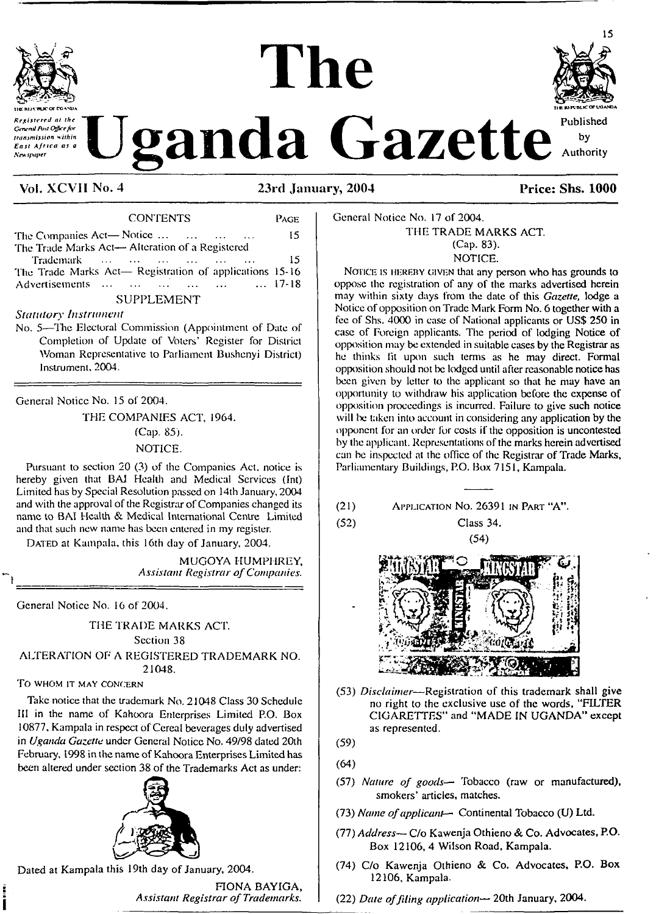

stered at the **General Bod Office hy** transmission within East Africa as a New spaper

**The**



**Vol. XCVII No. 4 23rd January, 2004 Price: Shs. 1000**

| <b>CONTENTS</b>                                          | PAGE |
|----------------------------------------------------------|------|
| The Companies Act—Notice $\dots$ $\dots$ $\dots$ $\dots$ | 15   |
| The Trade Marks Act- Alteration of a Registered          |      |
| Trademark                                                | 15   |
| The Trade Marks Act- Registration of applications 15-16  |      |
| Advertisements       17-18                               |      |
| <b>SUPPLEMENT</b>                                        |      |

# *Statutory Instrument*

No. *5—*The Electoral Commission (Appointment of Date of Completion of Update of Voters' Register for District Woman Representative to Parliament Bushenyi District) Instrument. 2004.

General Notice No. 15 of 2004.

THE COMPANIES ACT, 1964. (Cap. 85). NOTICE.

Pursuant to section 20 (3) of the Companies Act. notice is hereby given that BAI Health and Medical Services (Int) Limited has by Special Resolution passed on 14th January, 2004 and with the approval of the Registrar of Companies changed its name to BAI Health & Medical International Centre Limited and that such new name has been entered in my register.

DATED at Kampala, this 16th day of January, 2004.

MUGOYA HUMPHREY, *Assistant Registrar ofCompanies.*

General Notice No. 16 of 2004.

THE TRADE MARKS ACT. Section 38

ALTERATION OF A REGISTERED TRADEMARK NO. 21048.

## TO **WHOM IT MAY CONCERN**

Take notice that the trademark No. 21048 Class 30 Schedule III in the name of Kahoora Enterprises Limited P.O. Box 10877, Kampala in respect of Cereal beverages duly advertised in *Uganda Gazette* under General Notice No. 49/98 dated 20th February, 1998 in the name of Kahoora Enterprises Limited has been altered under section 38 of the Trademarks Act as under:



Dated at Kampala this 19th day of January, 2004.

FIONA BAYIGA, *Assistant Registrar ofTrademarks.*

General Notice No. 17 of 2004. THE TRADE MARKS ACT. (Cap. 83). NOTICE.

NOTICE IS HEREBY GIVEN that any person who has grounds to oppose the registration of any of the marks advertised herein may within sixty days from the date of this *Gazette,* lodge a Notice of opposition on Trade Mark Form No. 6 together with a fee of Shs. 4000 in ease of National applicants or US\$ 250 in case of Foreign applicants. The period of lodging Notice of opposition may be extended in suitable cases by the Registrar as he thinks fit upon such terms as he may direct. Formal opposition should not be lodged until afterreasonable notice has been given by letter to the applicant so that he may have an opportunity to withdraw his application before the expense of opposition proceedings is incurred. Failure to give such notice will be taken into account in considering any application by the opponent for an order for costs if the opposition is uncontested by the applicant. Representations of the marks herein advertised can be inspected at the office of the Registrar of Trade Marks, Parliamentary Buildings, P.O. Box 7151, Kampala.

(21) Application No. 26391 in Part "A".

(52) Class 34.





(53) *Disclaimer—*Registration of this trademark shall give no right to the exclusive use of the words, "FILTER CIGARETTES" and "MADE IN UGANDA" except as represented.

(59)

(64)

- (57) *Nature of goods* Tobacco (raw or manufactured), smokers' articles, matches.
- (73) *Name ofapplicant—* Continental Tobacco (U) Ltd.
- (77) *Address—* C/o Kawenja Othieno & Co. Advocates, P.O. Box 12106, 4 Wilson Road, Kampala.
- (74) C/o Kawenja Othieno & Co. Advocates, P.O. Box 12106, Kampala.
- (22) *Date offiling application—* 20th January, 2004.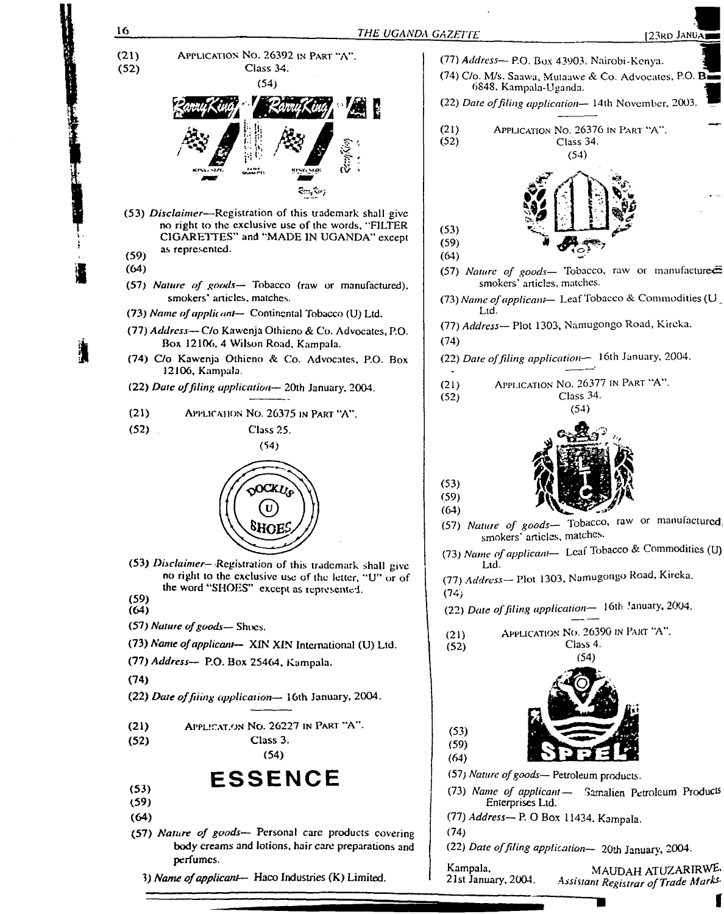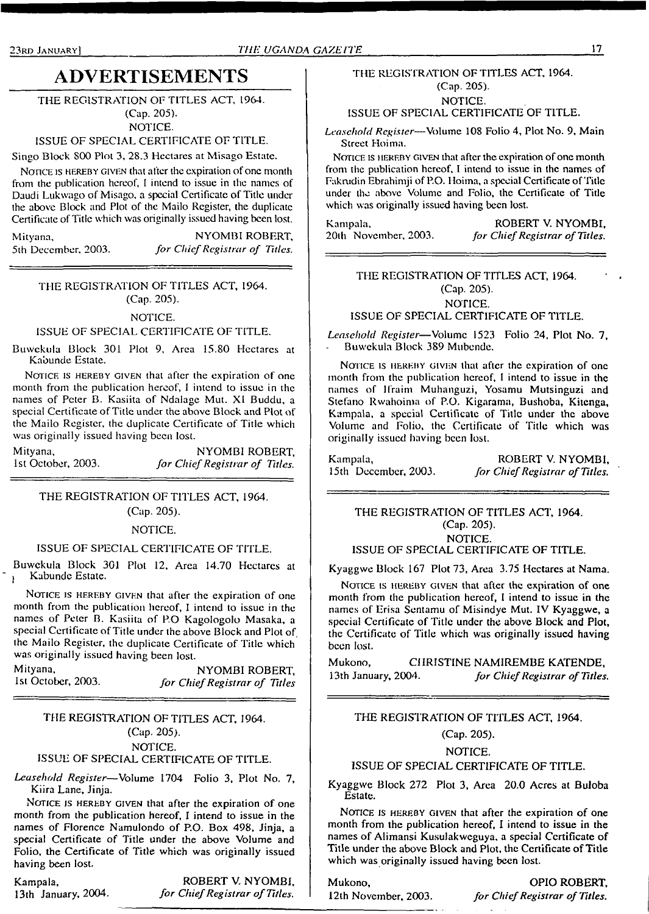# **ADVERTISEMENTS**

# THE REGISTRATION OF TITLES ACT, 1964.

(Cap. 205). NOTICE.

#### ISSUE OF SPECIAL CERTIFICATE OF TITLE.

Singo Block SOO Plot 3, 28.3 Hectares at Misago Estate.

NOTICE IS HEREBY GIVEN that after the expiration of one month from the publication hereof, <sup>1</sup> intend to issue in the names of Daudi Lukwago of Misago, a special Certificate of Title under the above Block and Plot of the Mailo Register, the duplicate Certificate of Title which was originally issued having been lost.

Mityana, NYOMBI ROBERT, 5th December, 2003. *for ChiefRegistrar of Cities,*

THE REGISTRATION OF TITLES ACT, 1964. (Cap. 205).

NOTICE.

## ISSUE OF SPECIAL CERTIFICATE OF TITLE.

Buwckula Block 301 Plot 9, Area 15.80 Hectares at Kabunde Estate.

NOTICE IS HEREBY GIVEN that after the expiration of one month from the publication hereof, I intend to issue in the names of Peter B. Kasiita of Ndalage Mut. XI Buddu, a special Certificate of Title under the above Block and Plot of the Mailo Register, the duplicate Certificate of Title which was originally issued having been lost.

| Mityana,           | NYOMBI ROBERT,                 |
|--------------------|--------------------------------|
| 1st October, 2003. | for Chief Registrar of Titles. |

# THE REGISTRATION OF TITLES ACT, 1964. (Cap. 205).

NOTICE.

## ISSUE OF SPECIAL CERTIFICATE OF TITLE.

Buwckula Block 301 Plot 12, Area 14.70 Hectares at Kabunde Estate.

NOTICE IS HEREBY GIVEN that after the expiration of one month from the publication hereof, I intend to issue in the names of Peter B. Kasiita of P.O Kagologolo Masaka, a special Certificate of Title under the above Block and Plot of. the Mailo Register, the duplicate Certificate of Title which was originally issued having been lost.

## Mityana, NYOMBI ROBERT,<br>1st October, 2003. for Chief Registrar of Titles 1st October, 2003. *for ChiefRegistrar of Titles*

# THE REGISTRATION OF TITLES ACT, 1964. (Cap. 205). NOTICE.

# ISSUE OF SPECIAL CERTIFICATE OF TITLE.

*Leasehold Register—*Volume 1704 Folio 3, Plot No. 7, Kiira Lane, Jinja.

NOTICE IS HEREBY GIVEN that after the expiration of one month from the publication hereof, I intend to issue in the names of Florence Namulondo of P.O. Box 498, Jinja, a special Certificate of Title under the above Volume and Folio, the Certificate of Title which was originally issued having been lost.

Kampala, ROBERT V. NYOMBI, 13th January, 2004. *for Chief Registrar of Titles*. 13th January, 2004. *for ChiefRegistrar ofTitles.*

## THE REGISTRATION OF TITLES ACT, 1964. (Cap. 205). NOTICE. ISSUE OF SPECIAL CERTIFICATE OF TITLE.

*Leasehold Register—*Volume 108 Folio 4, Plot No. 9, Main Street Hoima.

NOTICE IS HEREBY GIVEN that after the expiration of one month from the publication hereof, I intend to issue in the names of Fakrudin Ebrahimii of P.O. Hoima, a special Certificate of Title under the above Volume and Folio, the Certificate of Title which was originally issued having been lost.

Kampala, ROBERT V. NYOMBI,<br>
20th November, 2003. *for Chief Registrar of Titles*, 20th November, 2003. *for ChiefRegistrar ofTitles.*

THE REGISTRATION OF TITLES ACT, 1964. (Cap. 205). NOTICE.

ISSUE OF SPECIAL CERTIFICATE OF TITLE.

*Leasehold Register*—Volume 1523 Folio 24, Plot No. 7, Buwckula Block 389 Mubendc.

NOTICE IS HEREBY GIVEN that after the expiration of one month from the publication hereof, <sup>I</sup> intend to issue in the names of Ifraim Muhanguzi, Yosamu Mutsinguzi and Stefano Rwahoima of P.O. Kigarama, Bushoba, Kitenga, Kampala, a special Certificate of Title under the above Volume and Folio, the Certificate of Title which was originally issued having been lost.

Kampala, ROBERT V. NYOMBI, 15th December, 2003. *[or Chief Registrar of Titles.* 15th December, 2003. *for ChiefRegistrar ofTitles.*

# THE REGISTRATION OF TITLES ACT, 1964. (Cap. 205). NOTICE.

ISSUE OF SPECIAL CERTIFICATE OF TITLE.

Kyaggwe Block 167 Plot 73, Area 3.75 Hectares at Nama.

NOTICE IS HEREBY GIVEN that after the expiration of one month from the publication hereof, <sup>I</sup> intend to issue in the names of Erisa Scntamu of Misindye Mut. IV Kyaggwe, a special Certificate of Title under the above Block and Plot, the Certificate of Title which was originally issued having been lost.

Mukono, CHRISTINE NAMIREMBE KATENDE, 13th January, 2004. *for ChiefRegistrar ofTitles,*

THE REGISTRATION OF TITLES ACT, 1964.

(Cap. 205).

# NOTICE.

#### ISSUE OF SPECIAL CERTIFICATE OF TITLE.

Kyaggwe Block 272 Plot 3, Area 20.0 Acres at Buloba Estate.

NOTICE IS HEREBY GIVEN that after the expiration of one month from the publication hereof, I intend to issue in the names of Alimansi Kusulakwcguya, a special Certificate of Title under the above Block and Plot, the Certificate of Title which was originally issued having been lost.

Mukono, OPIO ROBERT, 12th November, 2003. *for ChiefRegistrar ofTitles.*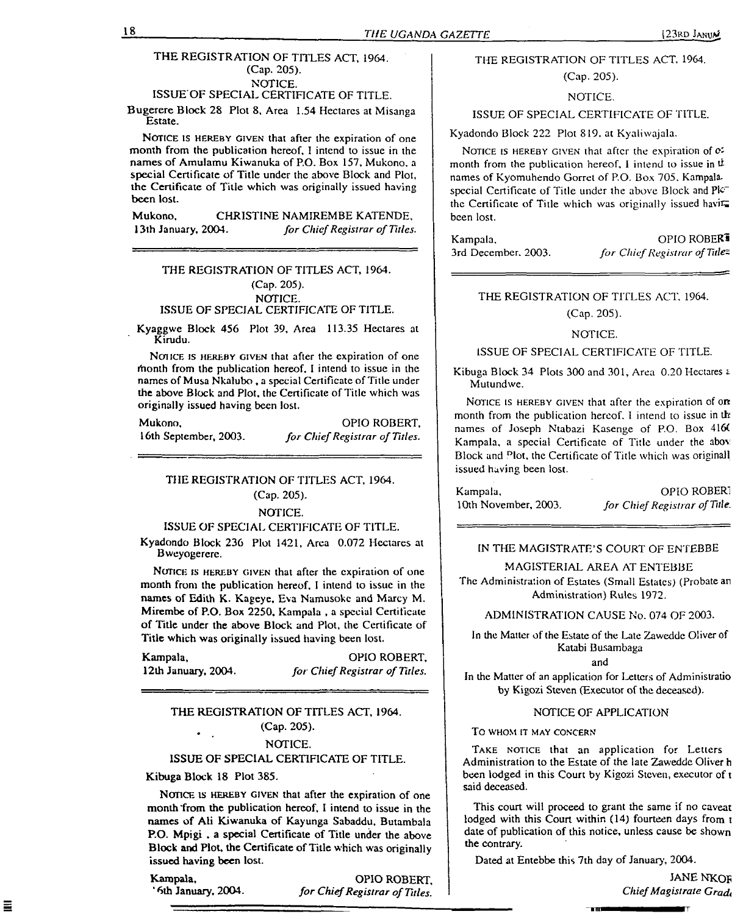## THE REGISTRATION OF TITLES ACT, 1964. (Cap. 205). NOTICE.

ISSUE'OF SPECIAL CERTIFICATE OF TITLE.

Bugerere Block 28 Plot 8, Area 1.54 Hectares at Misanga Estate.

NOTICE IS HEREBY GIVEN that after the expiration of one month from the publication hereof, I intend to issue in the names of Amulamu Kiwanuka of P.O. Box 157, Mukono, a special Certificate of Title under the above Block and Plot, the Certificate of Title which was originally issued having been lost.

Mukono, CHRISTINE NAMIREMBE KATENDE,<br>13th January, 2004. *for Chief Registrar of Titles* 13th January, 2004. *for ChiefRegistrar of Titles.*

# THE REGISTRATION OF TITLES ACT, 1964. (Cap. 205). NOTICE. ISSUE OF SPECIAL CERTIFICATE OF TITLE.

Kyaggwe Block 456 Plot 39, Area 113.35 Hectares at Kirudu.

NOTICE IS HEREBY GIVEN that after the expiration of one rhonth from the publication hereof. I intend to issue in the names of Musa Nkalubo, a special Certificate of Title under the above Block and Plot, the Certificate of Title which was originally issued having been lost.

Mukono, OPIO ROBERT, 16th September, 2003. *for ChiefRegistrar of Titles.*

# THE REGISTRATION OF TITLES ACT, 1964. (Cap. 205).

#### NOTICE.

#### ISSUE OF SPECIAL CERTIFICATE OF TITLE.

Kyadondo Block 236 Plot 1421, Area 0.072 Hectares at Bweyogerere.

NOTICE IS HEREBY GIVEN that after the expiration of one month from the publication hereof, <sup>I</sup> intend to issue in the names of Edith K. Kageye, Eva Namusokc and Marcy M. Mirembe of P.O. Box 2250, Kampala , a special Certificate of Title under the above Block and Plot, the Certificate of Title which was originally issued having been lost.

Kampala, OPIO ROBERT, 12th January, 2004. for Chief Registrar of Tules. 12th January, 2004. *for ChiefRegistrar of Titles.*

# THE REGISTRATION OF TITLES ACT, 1964. (Cap. 205).

#### NOTICE.

#### ISSUE OF SPECIAL CERTIFICATE OF TITLE.

Kibuga Block 18 Plot 385.

NOTICE IS HEREBY GIVEN that after the expiration of one month from the publication hereof, I intend to issue in the names of Ali Kiwanuka of Kayunga Sabaddu, Butambala P.O. Mpigi , a special Certificate of Title under the above Block and Plot, the Certificate of Title which was originally issued having been lost.

'

Ξ

Kampala, OPIO ROBERT,<br>
'6th January, 2004. for Chief Registrar of Titles. 6th January, 2004. *for ChiefRegistrar ofTitles.*

# THE REGISTRATION OF TITLES ACT. 1964.

(Cap. 205).

#### NOTICE.

# ISSUE OF SPECIAL CERTIFICATE OF TITLE.

Kyadondo Block 222 Plot 819. at Kyaliwajala.

NOTICE IS HEREBY GIVEN that after the expiration of  $\sigma$ : month from the publication hereof. I intend to issue in  $\dot{\mu}$ names of Kyomuhendo Gorret of P.O. Box 705. Kampalaspecial Certificate of Title under the above Block and Plc<sup>-</sup> the Certificate of Title which was originally issued havit been lost.

| Kampala,            | OPIO ROBER <sup>1</sup>       |
|---------------------|-------------------------------|
| 3rd December, 2003. | for Chief Registrar of Title= |

#### THE REGISTRATION OF TITLES ACT. 1964.

#### (Cap. 205).

#### NOTICE.

#### ISSUE OF SPECIAL CERTIFICATE OF TITLE.

Kibuga Block 34 Plots 300 and 301, Area 0.20 Hectares s. Mutundwe.

NOTICE IS HEREBY GIVEN that after the expiration of one month from the publication hereof. I intend to issue in th names of Joseph Ntabazi Kasenge of P.O. Box 416( Kampala, a special Certificate of Title under the abov Block and Dlot, the Certificate of Title which was original! issued having been lost.

Kampala, OPIO ROBERT

10th November, 2003. *for ChiefRegistrar ofTitle.*

#### IN THE MAGISTRATE'S COURT OF ENTEBBE

#### MAGISTERIAL AREA AT ENTEBBE

The Administration of Estates (Small Estates) (Probate an Administration) Rules 1972.

#### ADMINISTRATION CAUSE No. 074 OF 2003.

In the Matter of the Estate of the Late Zawedde Oliver of Katabi Busambaga

and

In the Matter of an application for Letters of Administratio by Kigozi Steven (Executor of the deceased).

#### NOTICE OF APPLICATION

#### **TO WHOM IT MAY CONCERN**

TAKE NOTICE that an application for Letters Administration to the Estate of the late Zawedde Oliver h been lodged in this Court by Kigozi Steven, executor of t said deceased.

This court will proceed to grant the same if no caveat lodged with this Court within (14) fourteen days from t date of publication of this notice, unless cause be shown the contrary.

**Tm**

Dated at Entebbe this 7th day of January, 2004.

JANE NKOF *ChiefMagistrate Gradt*